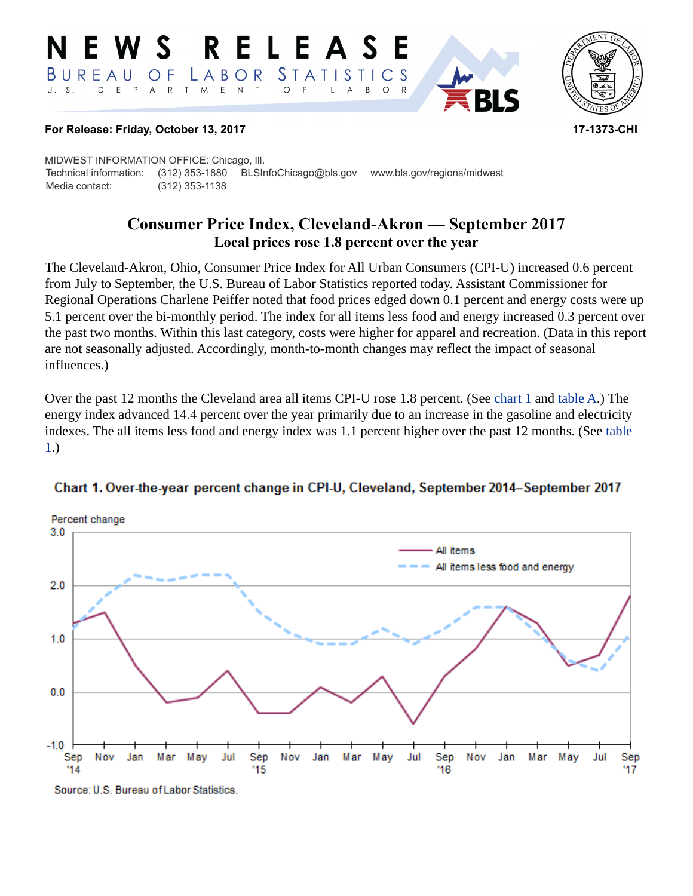#### RELEASE E W S *STATISTICS* BUREAU  $\overline{O}$  F LABOR D E P  ${\sf R}$ T M  $E$  N  $\top$  $U. S.$  $\overline{A}$  $\circ$ B  $\circ$  $\overline{A}$



#### **For Release: Friday, October 13, 2017 17-1373-CHI**

MIDWEST INFORMATION OFFICE: Chicago, Ill. Technical information: (312) 353-1880 BLSInfoChicago@bls.gov www.bls.gov/regions/midwest Media contact: (312) 353-1138

# **Consumer Price Index, Cleveland-Akron — September 2017 Local prices rose 1.8 percent over the year**

The Cleveland-Akron, Ohio, Consumer Price Index for All Urban Consumers (CPI-U) increased 0.6 percent from July to September, the U.S. Bureau of Labor Statistics reported today. Assistant Commissioner for Regional Operations Charlene Peiffer noted that food prices edged down 0.1 percent and energy costs were up 5.1 percent over the bi-monthly period. The index for all items less food and energy increased 0.3 percent over the past two months. Within this last category, costs were higher for apparel and recreation. (Data in this report are not seasonally adjusted. Accordingly, month-to-month changes may reflect the impact of seasonal influences.)

Over the past 12 months the Cleveland area all items CPI-U rose 1.8 percent. (See [chart 1](#page-0-0) and [table A](#page-1-0).) The energy index advanced 14.4 percent over the year primarily due to an increase in the gasoline and electricity indexes. The all items less food and energy index was 1.1 percent higher over the past 12 months. (See [table](#page-3-0)  [1.](#page-3-0))



#### <span id="page-0-0"></span>Chart 1. Over-the-year percent change in CPI-U, Cleveland, September 2014-September 2017

Source: U.S. Bureau of Labor Statistics.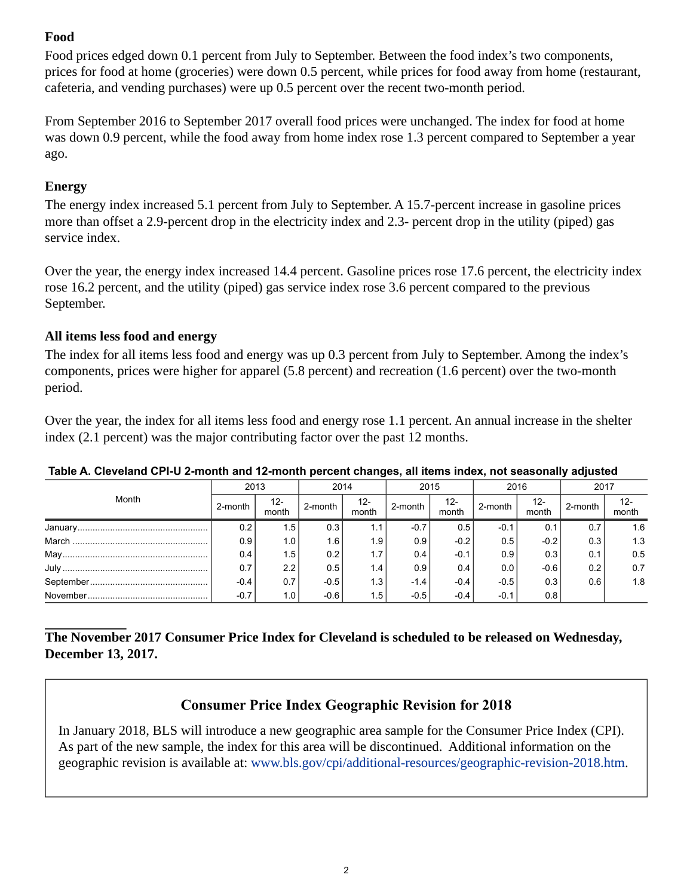## **Food**

Food prices edged down 0.1 percent from July to September. Between the food index's two components, prices for food at home (groceries) were down 0.5 percent, while prices for food away from home (restaurant, cafeteria, and vending purchases) were up 0.5 percent over the recent two-month period.

From September 2016 to September 2017 overall food prices were unchanged. The index for food at home was down 0.9 percent, while the food away from home index rose 1.3 percent compared to September a year ago.

## **Energy**

The energy index increased 5.1 percent from July to September. A 15.7-percent increase in gasoline prices more than offset a 2.9-percent drop in the electricity index and 2.3- percent drop in the utility (piped) gas service index.

Over the year, the energy index increased 14.4 percent. Gasoline prices rose 17.6 percent, the electricity index rose 16.2 percent, and the utility (piped) gas service index rose 3.6 percent compared to the previous September.

#### **All items less food and energy**

The index for all items less food and energy was up 0.3 percent from July to September. Among the index's components, prices were higher for apparel (5.8 percent) and recreation (1.6 percent) over the two-month period.

Over the year, the index for all items less food and energy rose 1.1 percent. An annual increase in the shelter index (2.1 percent) was the major contributing factor over the past 12 months.

| Month                                                                                                                              | 2013    |                 | 2014    |              | 2015    |                 | 2016    |              | 2017    |                 |
|------------------------------------------------------------------------------------------------------------------------------------|---------|-----------------|---------|--------------|---------|-----------------|---------|--------------|---------|-----------------|
|                                                                                                                                    | 2-month | $12 -$<br>month | 2-month | 12-<br>month | 2-month | $12 -$<br>month | 2-month | 12-<br>month | 2-month | $12 -$<br>month |
| ${\color{red} {{\text{January}}}\dots \dots \dots \dots \dots \dots \dots \dots \dots \dots \dots \dots \dots \dots \dots \dots }$ | 0.2     | 1.5             | 0.3     | I . I        | $-0.7$  | 0.5             | $-0.1$  | 0.1          | 0.7     | 1.6             |
|                                                                                                                                    | 0.9     | 1.0             | 1.6     | 1.9          | 0.9     | $-0.2$          | 0.5     | $-0.2$       | 0.3     | 1.3             |
|                                                                                                                                    | 0.4     | 1.5             | 0.2     | 1.7          | 0.4     | $-0.1$          | 0.9     | 0.3          | 0.1     | 0.5             |
|                                                                                                                                    | 0.7     | 2.2             | 0.5     | 1.4          | 0.9     | 0.4             | 0.0     | $-0.6$       | 0.2     | 0.7             |
|                                                                                                                                    | $-0.4$  | 0.7             | $-0.5$  | 1.3          | $-1.4$  | $-0.4$          | $-0.5$  | 0.3          | 0.6     | 1.8             |
|                                                                                                                                    | $-0.7$  | 1.0             | $-0.6$  | 1.5          | $-0.5$  | $-0.4$          | $-0.1$  | 0.8          |         |                 |

#### <span id="page-1-0"></span>**Table A. Cleveland CPI-U 2-month and 12-month percent changes, all items index, not seasonally adjusted**

#### **The November 2017 Consumer Price Index for Cleveland is scheduled to be released on Wednesday, December 13, 2017.**

## **Consumer Price Index Geographic Revision for 2018**

In January 2018, BLS will introduce a new geographic area sample for the Consumer Price Index (CPI). As part of the new sample, the index for this area will be discontinued. Additional information on the geographic revision is available at: [www.bls.gov/cpi/additional-resources/geographic-revision-2018.htm](https://www.bls.gov/cpi/additional-resources/geographic-revision-2018.htm).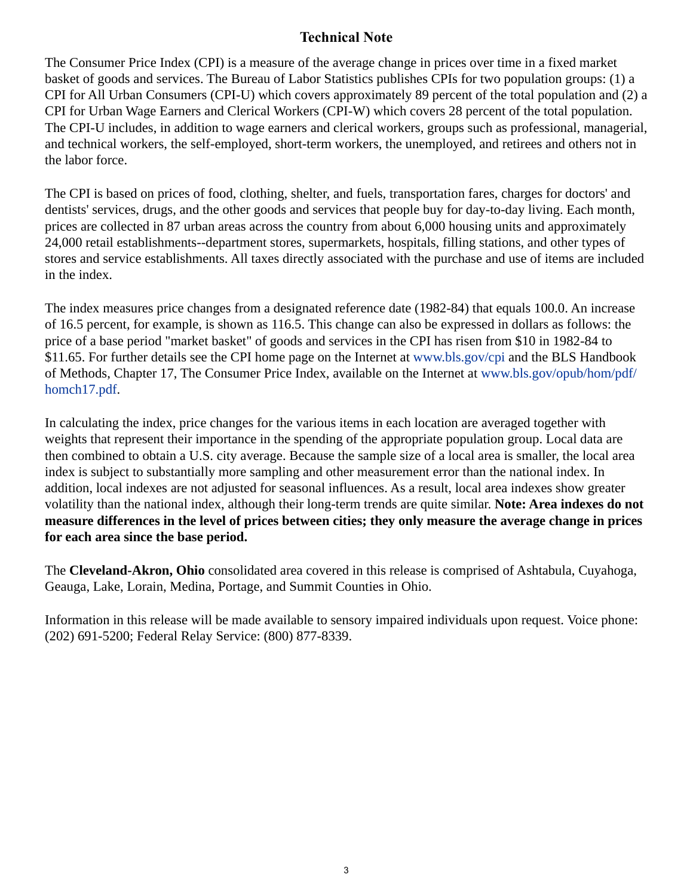## **Technical Note**

The Consumer Price Index (CPI) is a measure of the average change in prices over time in a fixed market basket of goods and services. The Bureau of Labor Statistics publishes CPIs for two population groups: (1) a CPI for All Urban Consumers (CPI-U) which covers approximately 89 percent of the total population and (2) a CPI for Urban Wage Earners and Clerical Workers (CPI-W) which covers 28 percent of the total population. The CPI-U includes, in addition to wage earners and clerical workers, groups such as professional, managerial, and technical workers, the self-employed, short-term workers, the unemployed, and retirees and others not in the labor force.

The CPI is based on prices of food, clothing, shelter, and fuels, transportation fares, charges for doctors' and dentists' services, drugs, and the other goods and services that people buy for day-to-day living. Each month, prices are collected in 87 urban areas across the country from about 6,000 housing units and approximately 24,000 retail establishments--department stores, supermarkets, hospitals, filling stations, and other types of stores and service establishments. All taxes directly associated with the purchase and use of items are included in the index.

The index measures price changes from a designated reference date (1982-84) that equals 100.0. An increase of 16.5 percent, for example, is shown as 116.5. This change can also be expressed in dollars as follows: the price of a base period "market basket" of goods and services in the CPI has risen from \$10 in 1982-84 to \$11.65. For further details see the CPI home page on the Internet at [www.bls.gov/cpi](https://www.bls.gov/cpi) and the BLS Handbook of Methods, Chapter 17, The Consumer Price Index, available on the Internet at [www.bls.gov/opub/hom/pdf/](https://www.bls.gov/opub/hom/pdf/homch17.pdf) [homch17.pdf](https://www.bls.gov/opub/hom/pdf/homch17.pdf).

In calculating the index, price changes for the various items in each location are averaged together with weights that represent their importance in the spending of the appropriate population group. Local data are then combined to obtain a U.S. city average. Because the sample size of a local area is smaller, the local area index is subject to substantially more sampling and other measurement error than the national index. In addition, local indexes are not adjusted for seasonal influences. As a result, local area indexes show greater volatility than the national index, although their long-term trends are quite similar. **Note: Area indexes do not measure differences in the level of prices between cities; they only measure the average change in prices for each area since the base period.**

The **Cleveland-Akron, Ohio** consolidated area covered in this release is comprised of Ashtabula, Cuyahoga, Geauga, Lake, Lorain, Medina, Portage, and Summit Counties in Ohio.

Information in this release will be made available to sensory impaired individuals upon request. Voice phone: (202) 691-5200; Federal Relay Service: (800) 877-8339.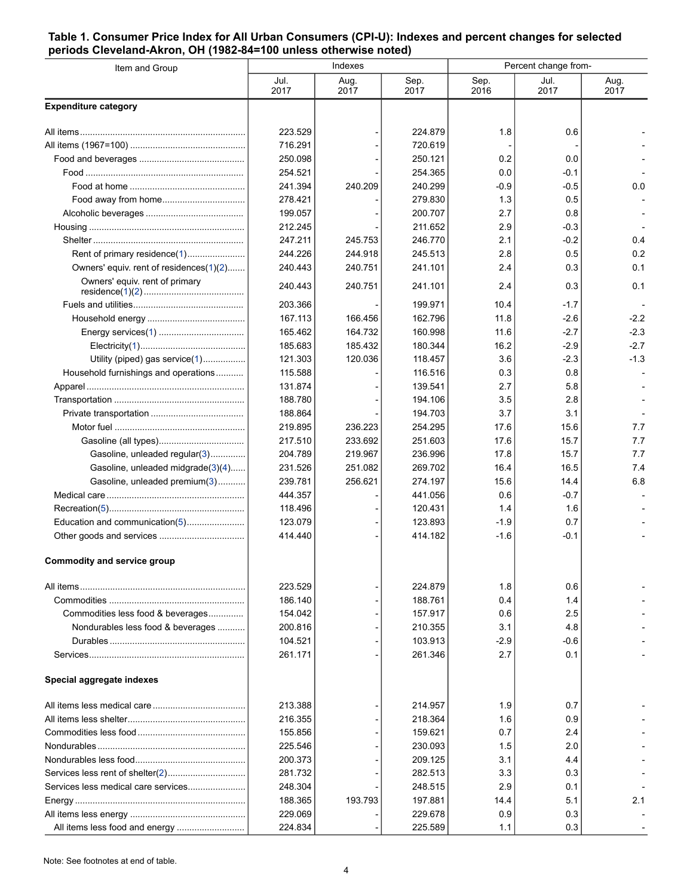#### <span id="page-3-0"></span>**Table 1. Consumer Price Index for All Urban Consumers (CPI-U): Indexes and percent changes for selected periods Cleveland-Akron, OH (1982-84=100 unless otherwise noted)**

| Item and Group                          |              | Indexes      |              | Percent change from- |              |              |  |
|-----------------------------------------|--------------|--------------|--------------|----------------------|--------------|--------------|--|
|                                         | Jul.<br>2017 | Aug.<br>2017 | Sep.<br>2017 | Sep.<br>2016         | Jul.<br>2017 | Aug.<br>2017 |  |
| <b>Expenditure category</b>             |              |              |              |                      |              |              |  |
|                                         | 223.529      |              | 224.879      | 1.8                  | 0.6          |              |  |
|                                         | 716.291      |              | 720.619      |                      |              |              |  |
|                                         | 250.098      |              | 250.121      | 0.2                  | 0.0          |              |  |
|                                         | 254.521      |              | 254.365      | 0.0                  | -0.1         |              |  |
|                                         | 241.394      | 240.209      | 240.299      | $-0.9$               | -0.5         | 0.0          |  |
|                                         | 278.421      |              | 279.830      | 1.3                  | 0.5          |              |  |
|                                         | 199.057      |              | 200.707      | 2.7                  | 0.8          |              |  |
|                                         | 212.245      |              | 211.652      | 2.9                  | -0.3         |              |  |
|                                         | 247.211      | 245.753      | 246.770      | 2.1                  | $-0.2$       | 0.4          |  |
|                                         | 244.226      | 244.918      | 245.513      | 2.8                  | 0.5          | 0.2          |  |
| Owners' equiv. rent of residences(1)(2) | 240.443      | 240.751      | 241.101      | 2.4                  | 0.3          | 0.1          |  |
| Owners' equiv. rent of primary          | 240.443      | 240.751      | 241.101      | 2.4                  | 0.3          | 0.1          |  |
|                                         | 203.366      |              | 199.971      | 10.4                 | $-1.7$       |              |  |
|                                         | 167.113      | 166.456      | 162.796      | 11.8                 | $-2.6$       | $-2.2$       |  |
|                                         | 165.462      | 164.732      | 160.998      | 11.6                 | -2.7         | $-2.3$       |  |
|                                         | 185.683      | 185.432      | 180.344      | 16.2                 | $-2.9$       | $-2.7$       |  |
| Utility (piped) gas service(1)          | 121.303      | 120.036      | 118.457      | 3.6                  | -2.3         | $-1.3$       |  |
| Household furnishings and operations    | 115.588      |              | 116.516      | 0.3                  | 0.8          |              |  |
|                                         | 131.874      |              | 139.541      | 2.7                  | 5.8          |              |  |
|                                         | 188.780      |              | 194.106      | 3.5                  | 2.8          |              |  |
|                                         | 188.864      |              | 194.703      | 3.7                  | 3.1          |              |  |
|                                         | 219.895      | 236.223      | 254.295      | 17.6                 | 15.6         | 7.7          |  |
|                                         | 217.510      | 233.692      | 251.603      | 17.6                 | 15.7         | 7.7          |  |
| Gasoline, unleaded regular(3)           | 204.789      | 219.967      | 236.996      | 17.8                 | 15.7         | 7.7          |  |
| Gasoline, unleaded midgrade(3)(4)       | 231.526      | 251.082      | 269.702      | 16.4                 | 16.5         | 7.4          |  |
| Gasoline, unleaded premium(3)           | 239.781      | 256.621      | 274.197      | 15.6                 | 14.4         | 6.8          |  |
|                                         | 444.357      |              | 441.056      | 0.6                  | $-0.7$       |              |  |
|                                         | 118.496      |              | 120.431      | 1.4                  | 1.6          |              |  |
| Education and communication(5)          | 123.079      |              | 123.893      | $-1.9$               | 0.7          |              |  |
|                                         | 414.440      |              | 414.182      | $-1.6$               | $-0.1$       |              |  |
| <b>Commodity and service group</b>      |              |              |              |                      |              |              |  |
|                                         | 223.529      |              | 224.879      | 1.8                  | 0.6          |              |  |
|                                         | 186.140      |              | 188.761      | 0.4                  | 1.4          |              |  |
| Commodities less food & beverages       | 154.042      |              | 157.917      | 0.6                  | 2.5          |              |  |
| Nondurables less food & beverages       | 200.816      |              | 210.355      | 3.1                  | 4.8          |              |  |
|                                         | 104.521      |              | 103.913      | $-2.9$               | -0.6         |              |  |
|                                         | 261.171      |              | 261.346      | 2.7                  | 0.1          |              |  |
| Special aggregate indexes               |              |              |              |                      |              |              |  |
|                                         | 213.388      |              | 214.957      | 1.9                  | 0.7          |              |  |
|                                         | 216.355      |              | 218.364      | 1.6                  | 0.9          |              |  |
|                                         | 155.856      |              | 159.621      | 0.7                  | 2.4          |              |  |
|                                         | 225.546      |              | 230.093      | 1.5                  | 2.0          |              |  |
|                                         | 200.373      |              | 209.125      | 3.1                  | 4.4          |              |  |
|                                         | 281.732      |              | 282.513      | 3.3                  | 0.3          |              |  |
| Services less medical care services     | 248.304      |              | 248.515      | 2.9                  | 0.1          |              |  |
|                                         | 188.365      | 193.793      | 197.881      | 14.4                 | 5.1          | 2.1          |  |
|                                         | 229.069      |              | 229.678      | 0.9                  | 0.3          |              |  |
| All items less food and energy          | 224.834      |              | 225.589      | 1.1                  | 0.3          |              |  |